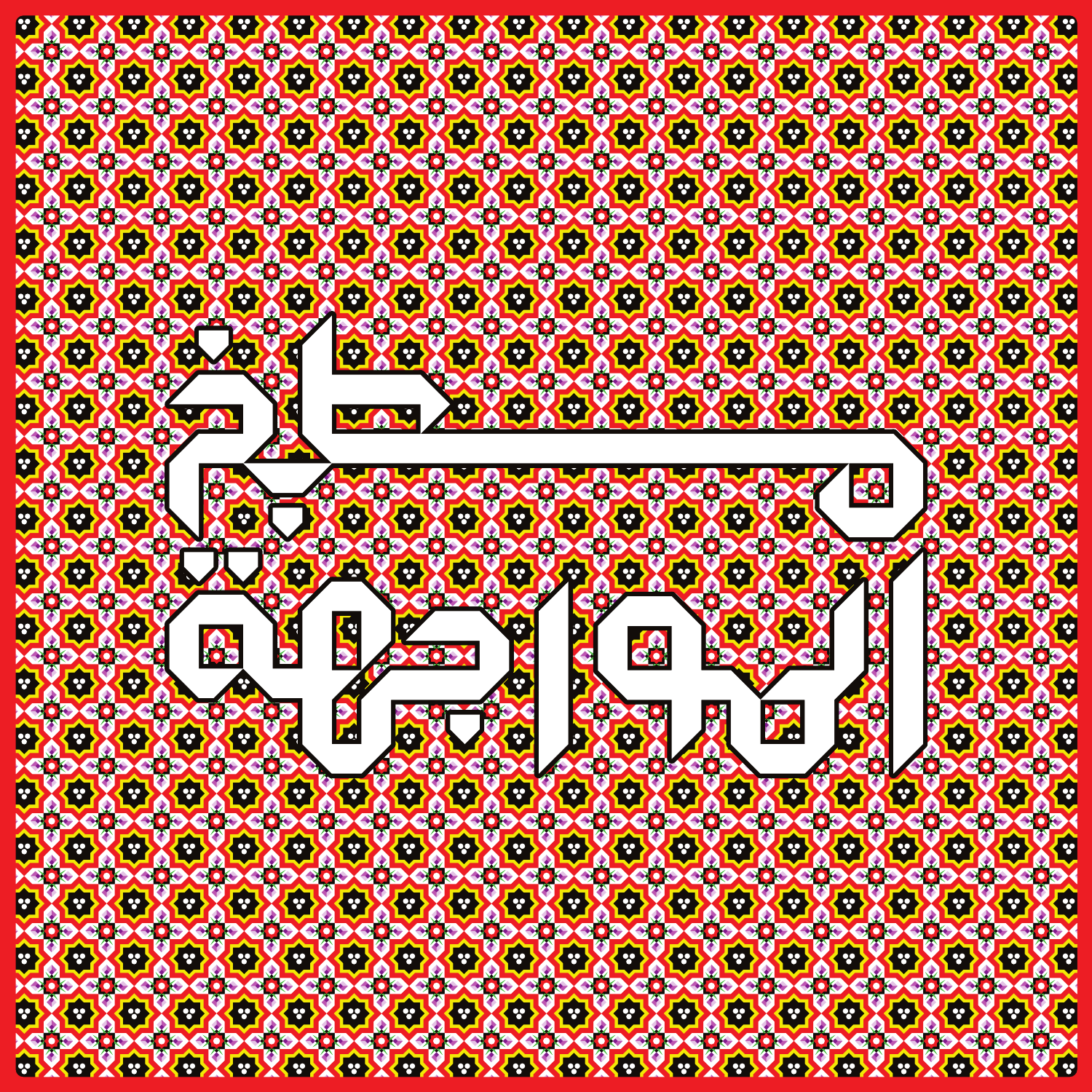

300 COOCOOCOOCOOCO **COL 400** BO C CAS 000000000 **CAD CAD ROD ACC DE** O. O. B **x B** 3 **B R R R R R** 3 **R**  $\bullet$ **K 32 R** 3 **22** \*\* 美 \*\* 美 **CHANGE** 4 **OOC** 888 **ODE ODE CAS 338** eja<br>Tabu 888 **O O O** Ø **B E R R R PO R R B E B** 3 3 **B S R** 4 集 美 OD O **ego 332 ego** 832 **838 ego COOCOO 338** 88 333 **BAC** D.C 200 **EX EX M x R R E R R M RA**  $\bullet$ 3 **Q Q S PO** 3 3 4 **332 200** 38 **AND** 323 **ego 232 332** 838 **BOR O O B O** Ø **B Exp** 3 3 **D D B R R B** 4 零 4 S 4 美 **ROOF** 美 **OXP** COD COD 83 323 228 200 O O. 图 O. O. **S** Ø B 3 砂 3 母 3 3 **B R** 3 **K** <u>ka</u>  $\alpha$  , and  $\alpha$  , and  $\alpha$  , and  $\alpha$  , and  $\alpha$  , and  $\alpha$  , and  $\alpha$  , and  $\alpha$  , and  $\alpha$  , and  $\alpha$ 8